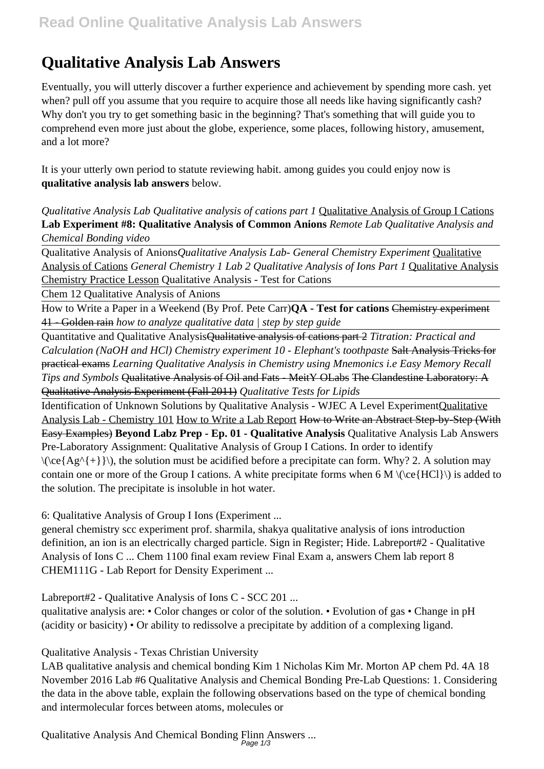# **Qualitative Analysis Lab Answers**

Eventually, you will utterly discover a further experience and achievement by spending more cash. yet when? pull off you assume that you require to acquire those all needs like having significantly cash? Why don't you try to get something basic in the beginning? That's something that will guide you to comprehend even more just about the globe, experience, some places, following history, amusement, and a lot more?

It is your utterly own period to statute reviewing habit. among guides you could enjoy now is **qualitative analysis lab answers** below.

*Qualitative Analysis Lab Qualitative analysis of cations part 1* Qualitative Analysis of Group I Cations **Lab Experiment #8: Qualitative Analysis of Common Anions** *Remote Lab Qualitative Analysis and Chemical Bonding video*

Qualitative Analysis of Anions*Qualitative Analysis Lab- General Chemistry Experiment* Qualitative Analysis of Cations *General Chemistry 1 Lab 2 Qualitative Analysis of Ions Part 1* Qualitative Analysis Chemistry Practice Lesson Qualitative Analysis - Test for Cations

Chem 12 Qualitative Analysis of Anions

How to Write a Paper in a Weekend (By Prof. Pete Carr)**QA - Test for cations** Chemistry experiment 41 - Golden rain *how to analyze qualitative data | step by step guide*

Quantitative and Qualitative AnalysisQualitative analysis of cations part 2 *Titration: Practical and Calculation (NaOH and HCl) Chemistry experiment 10 - Elephant's toothpaste* Salt Analysis Tricks for practical exams *Learning Qualitative Analysis in Chemistry using Mnemonics i.e Easy Memory Recall Tips and Symbols* Qualitative Analysis of Oil and Fats - MeitY OLabs The Clandestine Laboratory: A Qualitative Analysis Experiment (Fall 2011) *Qualitative Tests for Lipids*

Identification of Unknown Solutions by Qualitative Analysis - WJEC A Level ExperimentQualitative Analysis Lab - Chemistry 101 How to Write a Lab Report How to Write an Abstract Step-by-Step (With Easy Examples) **Beyond Labz Prep - Ep. 01 - Qualitative Analysis** Qualitative Analysis Lab Answers Pre-Laboratory Assignment: Qualitative Analysis of Group I Cations. In order to identify  $\langle$  ( $\langle$ ce{Ag^{+}}\), the solution must be acidified before a precipitate can form. Why? 2. A solution may contain one or more of the Group I cations. A white precipitate forms when 6 M  $\langle$   $\langle$  ce{HCl} $\rangle$  is added to the solution. The precipitate is insoluble in hot water.

6: Qualitative Analysis of Group I Ions (Experiment ...

general chemistry scc experiment prof. sharmila, shakya qualitative analysis of ions introduction definition, an ion is an electrically charged particle. Sign in Register; Hide. Labreport#2 - Qualitative Analysis of Ions C ... Chem 1100 final exam review Final Exam a, answers Chem lab report 8 CHEM111G - Lab Report for Density Experiment ...

Labreport#2 - Qualitative Analysis of Ions C - SCC 201 ...

qualitative analysis are: • Color changes or color of the solution. • Evolution of gas • Change in pH (acidity or basicity) • Or ability to redissolve a precipitate by addition of a complexing ligand.

Qualitative Analysis - Texas Christian University

LAB qualitative analysis and chemical bonding Kim 1 Nicholas Kim Mr. Morton AP chem Pd. 4A 18 November 2016 Lab #6 Qualitative Analysis and Chemical Bonding Pre-Lab Questions: 1. Considering the data in the above table, explain the following observations based on the type of chemical bonding and intermolecular forces between atoms, molecules or

Qualitative Analysis And Chemical Bonding Flinn Answers ... Page 1/3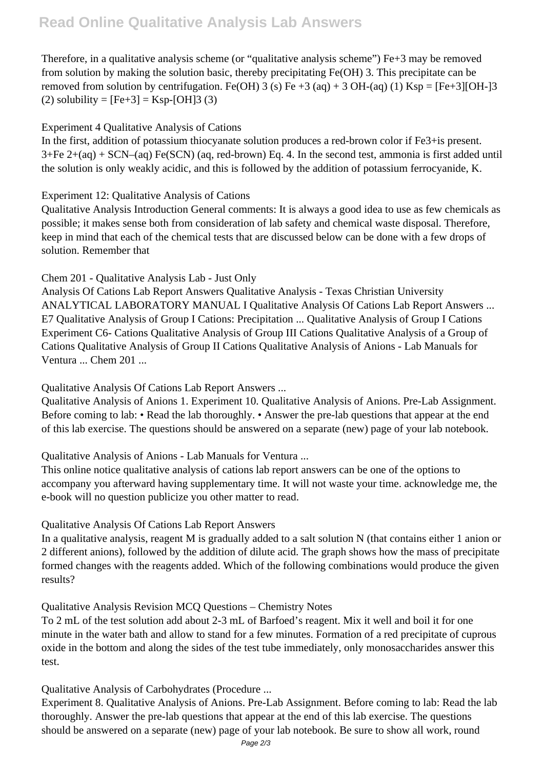# **Read Online Qualitative Analysis Lab Answers**

Therefore, in a qualitative analysis scheme (or "qualitative analysis scheme") Fe+3 may be removed from solution by making the solution basic, thereby precipitating Fe(OH) 3. This precipitate can be removed from solution by centrifugation. Fe(OH) 3 (s) Fe  $+3$  (aq)  $+3$  OH-(aq) (1) Ksp = [Fe+3][OH-]3 (2) solubility =  $[Fe+3] = Ksp-[OH]3(3)$ 

## Experiment 4 Qualitative Analysis of Cations

In the first, addition of potassium thiocyanate solution produces a red-brown color if Fe3+is present.  $3+Fe$   $2+(aq) + SCN-(aq)$  Fe(SCN) (aq, red-brown) Eq. 4. In the second test, ammonia is first added until the solution is only weakly acidic, and this is followed by the addition of potassium ferrocyanide, K.

### Experiment 12: Qualitative Analysis of Cations

Qualitative Analysis Introduction General comments: It is always a good idea to use as few chemicals as possible; it makes sense both from consideration of lab safety and chemical waste disposal. Therefore, keep in mind that each of the chemical tests that are discussed below can be done with a few drops of solution. Remember that

# Chem 201 - Qualitative Analysis Lab - Just Only

Analysis Of Cations Lab Report Answers Qualitative Analysis - Texas Christian University ANALYTICAL LABORATORY MANUAL I Qualitative Analysis Of Cations Lab Report Answers ... E7 Qualitative Analysis of Group I Cations: Precipitation ... Qualitative Analysis of Group I Cations Experiment C6- Cations Qualitative Analysis of Group III Cations Qualitative Analysis of a Group of Cations Qualitative Analysis of Group II Cations Qualitative Analysis of Anions - Lab Manuals for Ventura ... Chem 201 ...

Qualitative Analysis Of Cations Lab Report Answers ...

Qualitative Analysis of Anions 1. Experiment 10. Qualitative Analysis of Anions. Pre-Lab Assignment. Before coming to lab: • Read the lab thoroughly. • Answer the pre-lab questions that appear at the end of this lab exercise. The questions should be answered on a separate (new) page of your lab notebook.

# Qualitative Analysis of Anions - Lab Manuals for Ventura ...

This online notice qualitative analysis of cations lab report answers can be one of the options to accompany you afterward having supplementary time. It will not waste your time. acknowledge me, the e-book will no question publicize you other matter to read.

### Qualitative Analysis Of Cations Lab Report Answers

In a qualitative analysis, reagent M is gradually added to a salt solution N (that contains either 1 anion or 2 different anions), followed by the addition of dilute acid. The graph shows how the mass of precipitate formed changes with the reagents added. Which of the following combinations would produce the given results?

Qualitative Analysis Revision MCQ Questions – Chemistry Notes

To 2 mL of the test solution add about 2-3 mL of Barfoed's reagent. Mix it well and boil it for one minute in the water bath and allow to stand for a few minutes. Formation of a red precipitate of cuprous oxide in the bottom and along the sides of the test tube immediately, only monosaccharides answer this test.

Qualitative Analysis of Carbohydrates (Procedure ...

Experiment 8. Qualitative Analysis of Anions. Pre-Lab Assignment. Before coming to lab: Read the lab thoroughly. Answer the pre-lab questions that appear at the end of this lab exercise. The questions should be answered on a separate (new) page of your lab notebook. Be sure to show all work, round